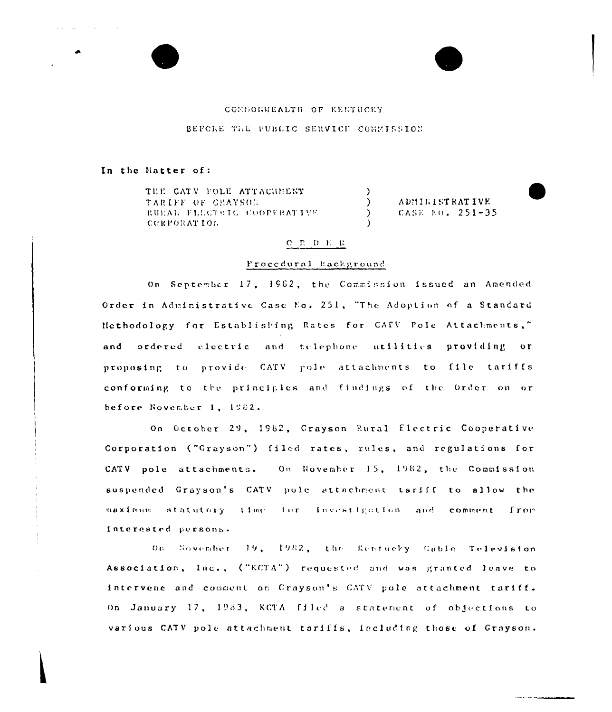## COMBORWEALTH OF EEETUCKY

BEFORE THE PUBLIC SERVICE COMMISSION

### In the Matter of:

THE CATV POLE ATTACHMENT TARIFF OF GRAYSON RUEAL FLECTRIC COOPFRATIVE CORPORATION

ADMINISTRATIVE CASE EO. 251-35

#### $O$   $R$   $D$   $E$   $R$

 $\lambda$  $\lambda$ 

 $\lambda$ 

#### Procedural Eackground

On September 17, 1982, the Commission issued an Amended Order in Administrative Case No. 251, "The Adoption of a Standard Methodology for Establishing Rates for CATV Pole Attachments," and ordered electric and telephone utilities providing or proposing to provide CATV pole attachments to file tariffs conforming to the principles and findings of the Order on or before November 1, 1982.

On October 29, 1982, Crayson Rural Electric Cooperative Corporation ("Grayson") filed rates, rules, and regulations for CATV pole attachments. On November 15, 1982, the Commission suspended Grayson's CATV pole attachment tariff to allow the maximum statutory time for investigation and comment from interested persons.

On Sovember 19, 1982, the Kentucky Cable Television Association, Inc., ("KCTA") requested and was granted leave to intervene and comment on Grayson's CATV pole attachment tariff. On January 17, 1983, KCTA filed a statement of objections to various CATV pole attachment tariffs, including those of Grayson.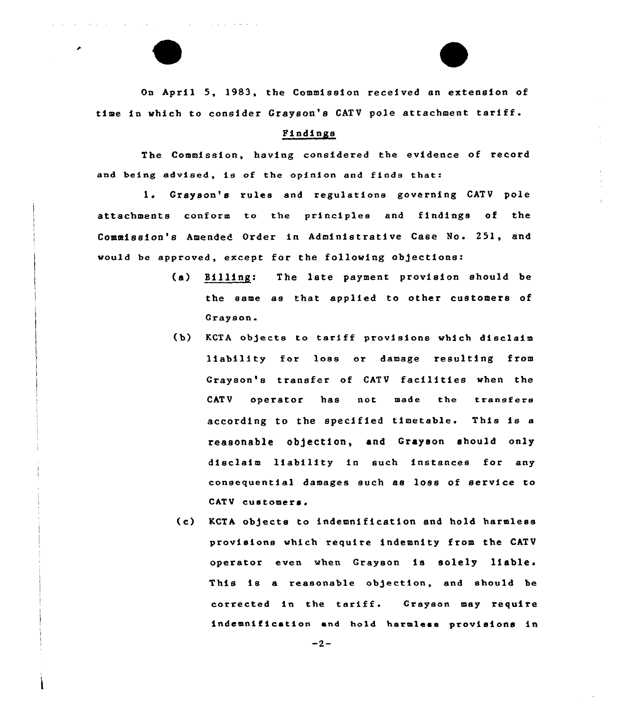On April 5, 1983, the Commission received an extension of time in which to consider Grayson's CATV pole attachment tariff.

# Findings

The Commission, having considered the evidence of record and being advised, is of the opinion and finds that:

1. Grayson's rules and regulations governing CATV pole attachments conform to the principles and findings of the Commission's Amended Order in Administrative Case No. 251, and would be approved, except for the following objections:

- (a) Billing: The late payment provision should be the same as that applied to other customers of Grayson.
- (b} KCTA ob)ects to tariff provisions which disclaim liability for loss or damage resulting from Grayson's transfer of CATV facilities when the CATV operator has not made the transfers according to the specified timetable. This is a reasonable objection, and Grayson should only disclaim liability in such instances for any consequential damages such as loss of service to CATV customers.
- (c) KCTA ob)ects to indemnification and hold harmless provisions which require indemnity from the CATV operator even when Grayson is solely liable. This is a reasonable objection, and should be corrected in the tariff. Grayson may require indemnification and hold harmless provisions in

 $-2-$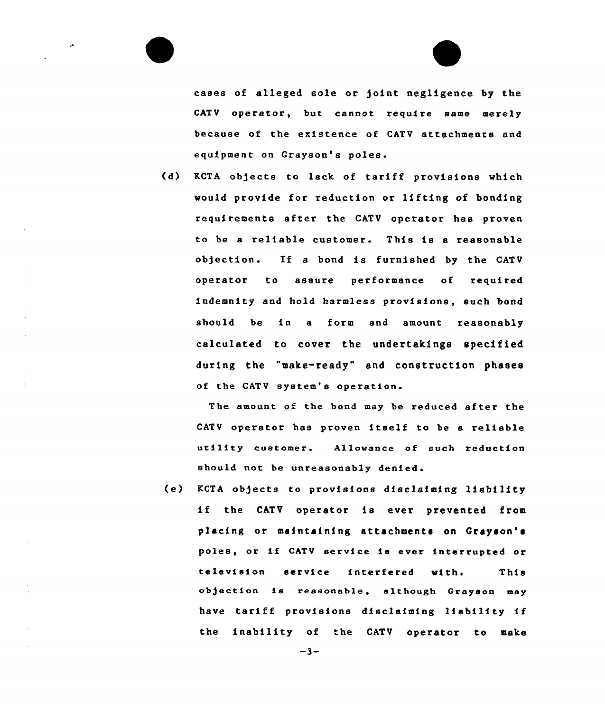cases of alleged sole or joint negligence by the CATV operator, but cannot require same merely because of the existence of CATV attachments and equipment on Grayson's poles

(d) KCTA objects to lack of tariff provisions vhich would provide for reduction or lifting of bonding requirements after the CATV operator has proven to be a reliable customer. This is <sup>a</sup> reasonable objection. If <sup>a</sup> bond is furnished by the CATV opexator to assure performance of xequired indemnity and hold harmless provisions, such bond should be in a form and amount reasonably calculated to cover the undertakings specified during the "make-ready" and construction phases of the CATV system's operation.

The amount of the bond may be reduced after the CATV operator has proven itself to be <sup>a</sup> reliable utility customer. Allowance of such reduction should not be unreasonably denied.

(e) KCTA objecte to provisions disclaiming liability if the CATV operator is ever prevented from placing or maintaining attachments on Grayson's poles, or if CATV service Le ever interrupted or television service interfered with, This objection ie reasonable, although Grayson may have tariff provisions disclaiming liability if the inability of the CATV operator to make

 $-3-$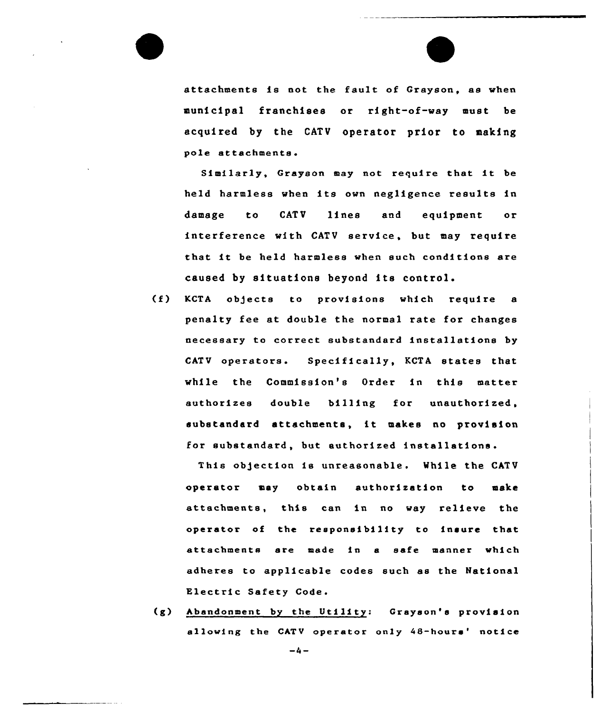

attachments is not the fault of Grayson, as when municipal franchises or right-of-way must be acquired by the CATV operator prior to making pole attachments.

Similarly, Grayson may not require that it be held harmless when its own negligence results in damage to CATV lines and equipment or interference with CATV service, but may require that it be held harmless when such conditions are caused by situations beyond its control.

(f) KCTA objects to provisions which require <sup>a</sup> penalty fee at double the normal rate for changes necessary to correct substandard installations by CATV operators. Specifically, KCTA states that while the Commission's Order in this matter authorizes double billing for unauthorized, substandard attachments, it makes no provision for substandard, but authorized installations.

This obgection is unreasonable. While the CATV operator may obtain authorization to make attachments, this can in no way relieve the operator of the responsibility to insure that attachments are made in a safe manner which adheres to applicable codes such as the National Electric Safety Code.

(g) Abandonment by the Utility: Grayson's provision allowing the CATV operator only 48-hours' notice

 $-4-$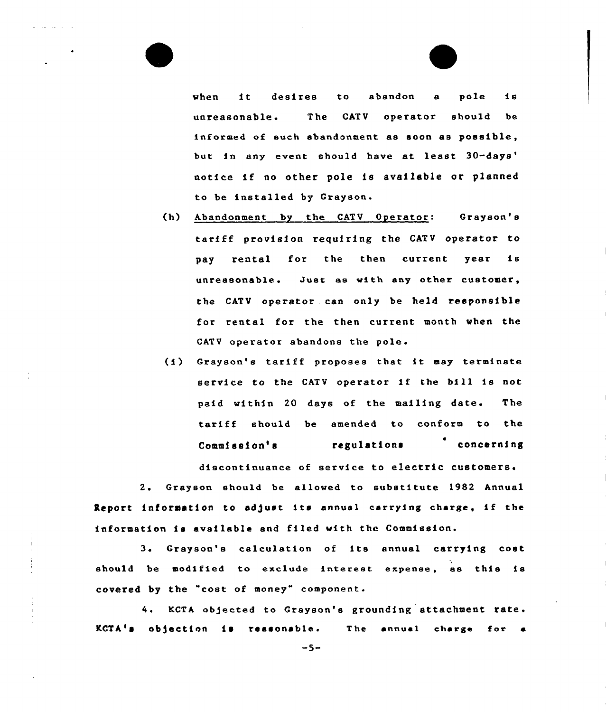when it desires to abandon <sup>a</sup> pole is unreasonable. The CATV operator should be informed of such abandonment as soon as possible, but in any event should have at least 30-days' notice if no other pole is available or planned to be installed by Grayson.

- (h) Abandonment by the CATV Operator: Grayson's tariff provision requiring the CATV operator to pay rental for the then current year is unreasonable. Just as with any othex customer, the CATV operator can only be held responsible for rental for the then current month when the CATV operator abandons the pole.
- (i) Grayson's tariff proposes that it may terminate service to the CATV operator if the bill is not paid within 20 days of the mailing date. The tariff should be amended to conform to the Commission's regulations concerning discontinuance of service to electric customers.

2. Grayson should be allowed to substitute 1982 Annual Report information to adjust its annual carrying charge, if the information is available and filed with the Commission.

3. Grayson's calculation of its ennual carrying cost should be modified to exclude interest expense, as this is covered by the "cost of money" component.

4. KCTA objected to Grayson's grounding attachment rate.  $KCTA$ 's objection is reasonable. The annual charge for a

 $-5-$